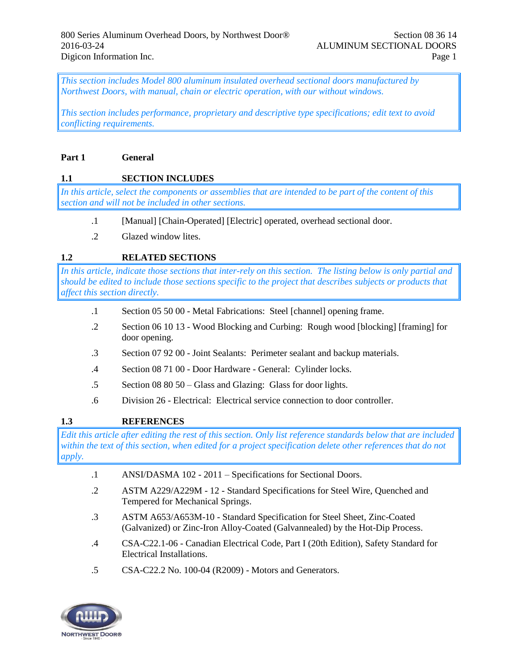*This section includes Model 800 aluminum insulated overhead sectional doors manufactured by Northwest Doors, with manual, chain or electric operation, with our without windows.* 

*This section includes performance, proprietary and descriptive type specifications; edit text to avoid conflicting requirements.* 

#### **Part 1 General**

### **1.1 SECTION INCLUDES**

*In this article, select the components or assemblies that are intended to be part of the content of this section and will not be included in other sections.*

- .1 [Manual] [Chain-Operated] [Electric] operated, overhead sectional door.
- .2 Glazed window lites.

### **1.2 RELATED SECTIONS**

*In this article, indicate those sections that inter-rely on this section. The listing below is only partial and should be edited to include those sections specific to the project that describes subjects or products that affect this section directly.*

- .1 Section 05 50 00 Metal Fabrications: Steel [channel] opening frame.
- .2 Section 06 10 13 Wood Blocking and Curbing: Rough wood [blocking] [framing] for door opening.
- .3 Section 07 92 00 Joint Sealants: Perimeter sealant and backup materials.
- .4 Section 08 71 00 Door Hardware General: Cylinder locks.
- .5 Section 08 80 50 Glass and Glazing: Glass for door lights.
- .6 Division 26 Electrical: Electrical service connection to door controller.

### **1.3 REFERENCES**

*Edit this article after editing the rest of this section. Only list reference standards below that are included within the text of this section, when edited for a project specification delete other references that do not apply.*

- .1 ANSI/DASMA 102 2011 Specifications for Sectional Doors.
- .2 ASTM A229/A229M 12 Standard Specifications for Steel Wire, Quenched and Tempered for Mechanical Springs.
- .3 ASTM A653/A653M-10 Standard Specification for Steel Sheet, Zinc-Coated (Galvanized) or Zinc-Iron Alloy-Coated (Galvannealed) by the Hot-Dip Process.
- .4 CSA-C22.1-06 Canadian Electrical Code, Part I (20th Edition), Safety Standard for Electrical Installations.
- .5 CSA-C22.2 No. 100-04 (R2009) Motors and Generators.

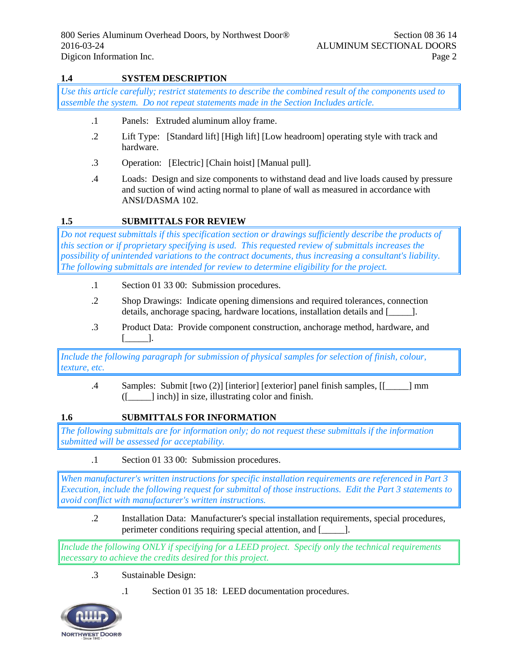## **1.4 SYSTEM DESCRIPTION**

*Use this article carefully; restrict statements to describe the combined result of the components used to assemble the system. Do not repeat statements made in the Section Includes article.*

- .1 Panels: Extruded aluminum alloy frame.
- .2 Lift Type: [Standard lift] [High lift] [Low headroom] operating style with track and hardware.
- .3 Operation: [Electric] [Chain hoist] [Manual pull].
- .4 Loads: Design and size components to withstand dead and live loads caused by pressure and suction of wind acting normal to plane of wall as measured in accordance with ANSI/DASMA 102.

## **1.5 SUBMITTALS FOR REVIEW**

*Do not request submittals if this specification section or drawings sufficiently describe the products of this section or if proprietary specifying is used. This requested review of submittals increases the possibility of unintended variations to the contract documents, thus increasing a consultant's liability. The following submittals are intended for review to determine eligibility for the project.*

- .1 Section 01 33 00: Submission procedures.
- .2 Shop Drawings: Indicate opening dimensions and required tolerances, connection details, anchorage spacing, hardware locations, installation details and [\_\_\_\_\_].
- .3 Product Data: Provide component construction, anchorage method, hardware, and [\_\_\_\_\_].

*Include the following paragraph for submission of physical samples for selection of finish, colour, texture, etc.*

.4 Samples: Submit [two (2)] [interior] [exterior] panel finish samples, [[\_\_\_\_\_] mm  $([$   $]$  inch)] in size, illustrating color and finish.

### **1.6 SUBMITTALS FOR INFORMATION**

*The following submittals are for information only; do not request these submittals if the information submitted will be assessed for acceptability.*

.1 Section 01 33 00: Submission procedures.

*When manufacturer's written instructions for specific installation requirements are referenced in Part 3 Execution, include the following request for submittal of those instructions. Edit the Part 3 statements to avoid conflict with manufacturer's written instructions.*

.2 Installation Data: Manufacturer's special installation requirements, special procedures, perimeter conditions requiring special attention, and [\_\_\_\_\_\_].

*Include the following ONLY if specifying for a LEED project. Specify only the technical requirements necessary to achieve the credits desired for this project.*

- .3 Sustainable Design:
	- .1 Section 01 35 18: LEED documentation procedures.

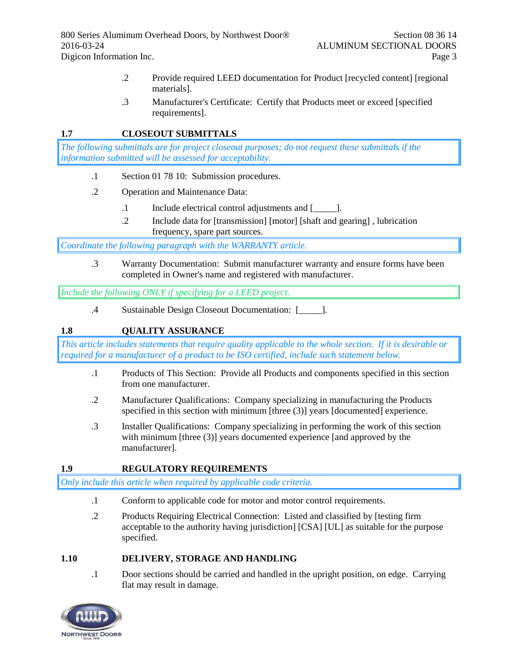- .2 Provide required LEED documentation for Product [recycled content] [regional materials].
- .3 Manufacturer's Certificate: Certify that Products meet or exceed [specified requirements].

## **1.7 CLOSEOUT SUBMITTALS**

*The following submittals are for project closeout purposes; do not request these submittals if the information submitted will be assessed for acceptability.*

- .1 Section 01 78 10: Submission procedures.
- .2 Operation and Maintenance Data:
	- .1 Include electrical control adjustments and [\_\_\_\_\_].
	- .2 Include data for [transmission] [motor] [shaft and gearing] , lubrication frequency, spare part sources.

*Coordinate the following paragraph with the WARRANTY article.*

.3 Warranty Documentation: Submit manufacturer warranty and ensure forms have been completed in Owner's name and registered with manufacturer.

*Include the following ONLY if specifying for a LEED project.*

.4 Sustainable Design Closeout Documentation: [\_\_\_\_\_].

# **1.8 QUALITY ASSURANCE**

*This article includes statements that require quality applicable to the whole section. If it is desirable or required for a manufacturer of a product to be ISO certified, include such statement below.*

- .1 Products of This Section: Provide all Products and components specified in this section from one manufacturer.
- .2 Manufacturer Qualifications: Company specializing in manufacturing the Products specified in this section with minimum [three (3)] years [documented] experience.
- .3 Installer Qualifications: Company specializing in performing the work of this section with minimum [three (3)] years documented experience [and approved by the manufacturer].

### **1.9 REGULATORY REQUIREMENTS**

*Only include this article when required by applicable code criteria.*

- .1 Conform to applicable code for motor and motor control requirements.
- .2 Products Requiring Electrical Connection: Listed and classified by [testing firm acceptable to the authority having jurisdiction] [CSA] [UL] as suitable for the purpose specified.

### **1.10 DELIVERY, STORAGE AND HANDLING**

.1 Door sections should be carried and handled in the upright position, on edge. Carrying flat may result in damage.

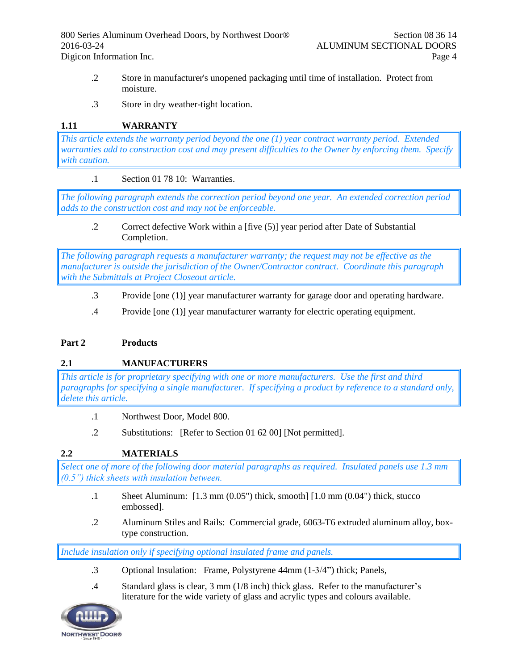- .2 Store in manufacturer's unopened packaging until time of installation. Protect from moisture.
- .3 Store in dry weather-tight location.

## **1.11 WARRANTY**

*This article extends the warranty period beyond the one (1) year contract warranty period. Extended warranties add to construction cost and may present difficulties to the Owner by enforcing them. Specify with caution.*

### .1 Section 01 78 10: Warranties.

*The following paragraph extends the correction period beyond one year. An extended correction period adds to the construction cost and may not be enforceable.*

.2 Correct defective Work within a [five (5)] year period after Date of Substantial Completion.

*The following paragraph requests a manufacturer warranty; the request may not be effective as the manufacturer is outside the jurisdiction of the Owner/Contractor contract. Coordinate this paragraph with the Submittals at Project Closeout article.*

- .3 Provide [one (1)] year manufacturer warranty for garage door and operating hardware.
- .4 Provide [one (1)] year manufacturer warranty for electric operating equipment.

### **Part 2 Products**

# **2.1 MANUFACTURERS**

*This article is for proprietary specifying with one or more manufacturers. Use the first and third paragraphs for specifying a single manufacturer. If specifying a product by reference to a standard only, delete this article.*

- .1 Northwest Door, Model 800.
- .2 Substitutions: [Refer to Section 01 62 00] [Not permitted].

# **2.2 MATERIALS**

*Select one of more of the following door material paragraphs as required. Insulated panels use 1.3 mm (0.5") thick sheets with insulation between.*

- .1 Sheet Aluminum: [1.3 mm (0.05") thick, smooth] [1.0 mm (0.04") thick, stucco embossed].
- .2 Aluminum Stiles and Rails: Commercial grade, 6063-T6 extruded aluminum alloy, boxtype construction.

*Include insulation only if specifying optional insulated frame and panels.*

- .3 Optional Insulation: Frame, Polystyrene 44mm (1-3/4") thick; Panels,
- .4 Standard glass is clear, 3 mm (1/8 inch) thick glass. Refer to the manufacturer's literature for the wide variety of glass and acrylic types and colours available.

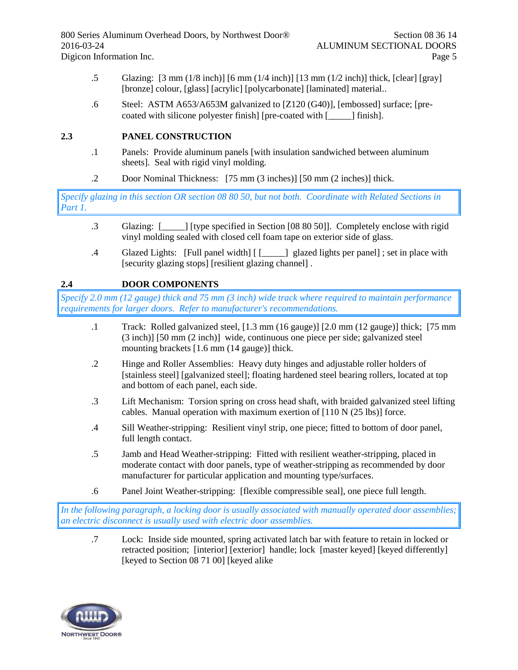- .5 Glazing: [3 mm (1/8 inch)] [6 mm (1/4 inch)] [13 mm (1/2 inch)] thick, [clear] [gray] [bronze] colour, [glass] [acrylic] [polycarbonate] [laminated] material..
- .6 Steel: ASTM A653/A653M galvanized to [Z120 (G40)], [embossed] surface; [precoated with silicone polyester finish] [pre-coated with [\_\_\_\_\_] finish].

## **2.3 PANEL CONSTRUCTION**

- .1 Panels: Provide aluminum panels [with insulation sandwiched between aluminum sheets]. Seal with rigid vinyl molding.
- .2 Door Nominal Thickness: [75 mm (3 inches)] [50 mm (2 inches)] thick.

*Specify glazing in this section OR section 08 80 50, but not both. Coordinate with Related Sections in Part 1.*

- .3 Glazing: [\_\_\_\_\_] [type specified in Section [08 80 50]]. Completely enclose with rigid vinyl molding sealed with closed cell foam tape on exterior side of glass.
- .4 Glazed Lights: [Full panel width] [ [\_\_\_\_\_] glazed lights per panel] ; set in place with [security glazing stops] [resilient glazing channel] .

# **2.4 DOOR COMPONENTS**

*Specify 2.0 mm (12 gauge) thick and 75 mm (3 inch) wide track where required to maintain performance requirements for larger doors. Refer to manufacturer's recommendations.* 

- .1 Track: Rolled galvanized steel, [1.3 mm (16 gauge)] [2.0 mm (12 gauge)] thick; [75 mm (3 inch)] [50 mm (2 inch)] wide, continuous one piece per side; galvanized steel mounting brackets [1.6 mm (14 gauge)] thick.
- .2 Hinge and Roller Assemblies: Heavy duty hinges and adjustable roller holders of [stainless steel] [galvanized steel]; floating hardened steel bearing rollers, located at top and bottom of each panel, each side.
- .3 Lift Mechanism: Torsion spring on cross head shaft, with braided galvanized steel lifting cables. Manual operation with maximum exertion of [110 N (25 lbs)] force.
- .4 Sill Weather-stripping: Resilient vinyl strip, one piece; fitted to bottom of door panel, full length contact.
- .5 Jamb and Head Weather-stripping: Fitted with resilient weather-stripping, placed in moderate contact with door panels, type of weather-stripping as recommended by door manufacturer for particular application and mounting type/surfaces.
- .6 Panel Joint Weather-stripping: [flexible compressible seal], one piece full length.

*In the following paragraph, a locking door is usually associated with manually operated door assemblies; an electric disconnect is usually used with electric door assemblies.*

.7 Lock: Inside side mounted, spring activated latch bar with feature to retain in locked or retracted position; [interior] [exterior] handle; lock [master keyed] [keyed differently] [keyed to Section 08 71 00] [keyed alike]

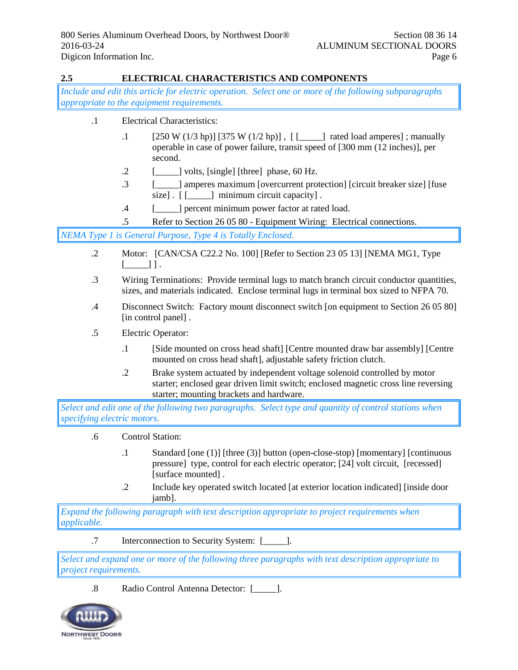# **2.5 ELECTRICAL CHARACTERISTICS AND COMPONENTS**

*Include and edit this article for electric operation. Select one or more of the following subparagraphs appropriate to the equipment requirements.*

- .1 Electrical Characteristics:
	- $1$  [250 W (1/3 hp)] [375 W (1/2 hp)],  $\lceil \cdot \rceil$  rated load amperes]; manually operable in case of power failure, transit speed of [300 mm (12 inches)], per second.
	- .2 [\_\_\_\_\_] volts, [single] [three] phase, 60 Hz.
	- .3 [\_\_\_\_\_] amperes maximum [overcurrent protection] [circuit breaker size] [fuse size].  $\lceil \lfloor \frac{m}{n} \rfloor \rfloor$  minimum circuit capacity].
	- .4 [\_\_\_\_\_] percent minimum power factor at rated load.
	- .5 Refer to Section 26 05 80 Equipment Wiring: Electrical connections.

*NEMA Type 1 is General Purpose, Type 4 is Totally Enclosed.*

- .2 Motor: [CAN/CSA C22.2 No. 100] [Refer to Section 23 05 13] [NEMA MG1, Type  $[\_\_\_\]$  ] .
- .3 Wiring Terminations: Provide terminal lugs to match branch circuit conductor quantities, sizes, and materials indicated. Enclose terminal lugs in terminal box sized to NFPA 70.
- .4 Disconnect Switch: Factory mount disconnect switch [on equipment to Section 26 05 80] [in control panel].
- .5 Electric Operator:
	- .1 [Side mounted on cross head shaft] [Centre mounted draw bar assembly] [Centre mounted on cross head shaft], adjustable safety friction clutch.
	- .2 Brake system actuated by independent voltage solenoid controlled by motor starter; enclosed gear driven limit switch; enclosed magnetic cross line reversing starter; mounting brackets and hardware.

*Select and edit one of the following two paragraphs. Select type and quantity of control stations when specifying electric motors.*

- .6 Control Station:
	- .1 Standard [one (1)] [three (3)] button (open-close-stop) [momentary] [continuous pressure] type, control for each electric operator; [24] volt circuit, [recessed] [surface mounted] .
	- .2 Include key operated switch located [at exterior location indicated] [inside door jamb].

*Expand the following paragraph with text description appropriate to project requirements when applicable.*

.7 Interconnection to Security System: [.......].

*Select and expand one or more of the following three paragraphs with text description appropriate to project requirements.*

.8 Radio Control Antenna Detector: [\_\_\_\_\_].

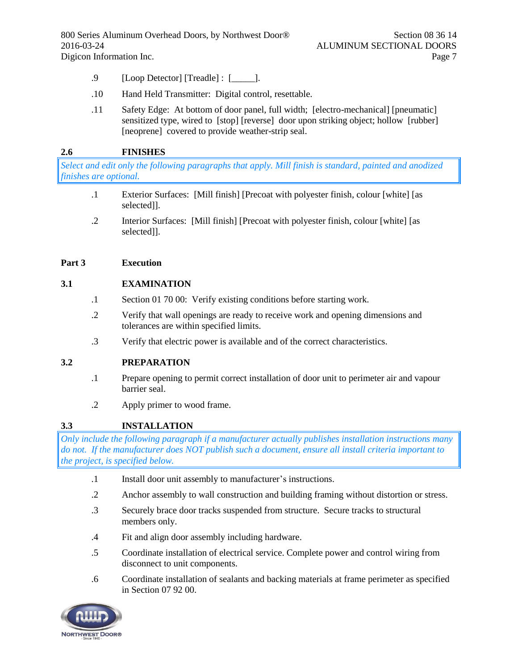- .9 [Loop Detector] [Treadle] : [\_\_\_\_\_].
- .10 Hand Held Transmitter: Digital control, resettable.
- .11 Safety Edge: At bottom of door panel, full width; [electro-mechanical] [pneumatic] sensitized type, wired to [stop] [reverse] door upon striking object; hollow [rubber] [neoprene] covered to provide weather-strip seal.

#### **2.6 FINISHES**

*Select and edit only the following paragraphs that apply. Mill finish is standard, painted and anodized finishes are optional.*

- .1 Exterior Surfaces: [Mill finish] [Precoat with polyester finish, colour [white] [as selected]].
- .2 Interior Surfaces: [Mill finish] [Precoat with polyester finish, colour [white] [as selected]].

#### **Part 3 Execution**

#### **3.1 EXAMINATION**

- .1 Section 01 70 00: Verify existing conditions before starting work.
- .2 Verify that wall openings are ready to receive work and opening dimensions and tolerances are within specified limits.
- .3 Verify that electric power is available and of the correct characteristics.

#### **3.2 PREPARATION**

- .1 Prepare opening to permit correct installation of door unit to perimeter air and vapour barrier seal.
- .2 Apply primer to wood frame.

#### **3.3 INSTALLATION**

*Only include the following paragraph if a manufacturer actually publishes installation instructions many do not. If the manufacturer does NOT publish such a document, ensure all install criteria important to the project, is specified below.*

- .1 Install door unit assembly to manufacturer's instructions.
- .2 Anchor assembly to wall construction and building framing without distortion or stress.
- .3 Securely brace door tracks suspended from structure. Secure tracks to structural members only.
- .4 Fit and align door assembly including hardware.
- .5 Coordinate installation of electrical service. Complete power and control wiring from disconnect to unit components.
- .6 Coordinate installation of sealants and backing materials at frame perimeter as specified in Section 07 92 00.